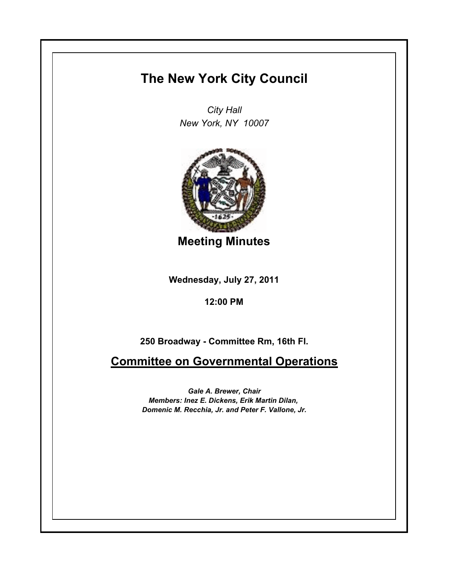## **The New York City Council**

*City Hall New York, NY 10007*



**Meeting Minutes**

**Wednesday, July 27, 2011**

**12:00 PM**

**250 Broadway - Committee Rm, 16th Fl.**

**Committee on Governmental Operations**

*Gale A. Brewer, Chair Members: Inez E. Dickens, Erik Martin Dilan, Domenic M. Recchia, Jr. and Peter F. Vallone, Jr.*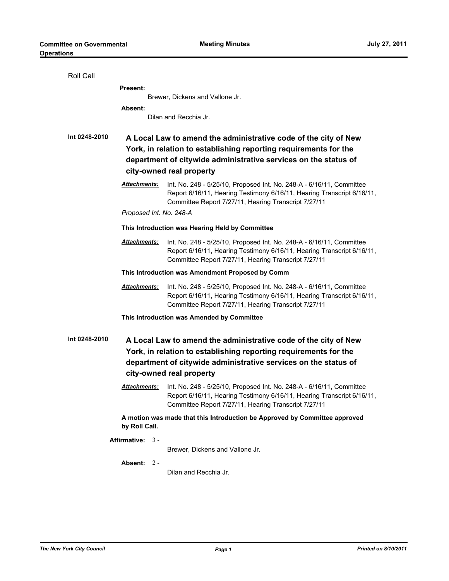| <b>Roll Call</b>                                                                 |                                                                                                                                                                                                                                    |                                                                                                                                                                                                        |  |  |
|----------------------------------------------------------------------------------|------------------------------------------------------------------------------------------------------------------------------------------------------------------------------------------------------------------------------------|--------------------------------------------------------------------------------------------------------------------------------------------------------------------------------------------------------|--|--|
|                                                                                  | <b>Present:</b>                                                                                                                                                                                                                    |                                                                                                                                                                                                        |  |  |
|                                                                                  | Brewer, Dickens and Vallone Jr.                                                                                                                                                                                                    |                                                                                                                                                                                                        |  |  |
|                                                                                  | <b>Absent:</b>                                                                                                                                                                                                                     |                                                                                                                                                                                                        |  |  |
|                                                                                  |                                                                                                                                                                                                                                    | Dilan and Recchia Jr.                                                                                                                                                                                  |  |  |
| Int 0248-2010                                                                    |                                                                                                                                                                                                                                    |                                                                                                                                                                                                        |  |  |
|                                                                                  | A Local Law to amend the administrative code of the city of New<br>York, in relation to establishing reporting requirements for the<br>department of citywide administrative services on the status of<br>city-owned real property |                                                                                                                                                                                                        |  |  |
|                                                                                  |                                                                                                                                                                                                                                    |                                                                                                                                                                                                        |  |  |
|                                                                                  |                                                                                                                                                                                                                                    |                                                                                                                                                                                                        |  |  |
|                                                                                  |                                                                                                                                                                                                                                    |                                                                                                                                                                                                        |  |  |
|                                                                                  | <u> Attachments:</u>                                                                                                                                                                                                               | Int. No. 248 - 5/25/10, Proposed Int. No. 248-A - 6/16/11, Committee<br>Report 6/16/11, Hearing Testimony 6/16/11, Hearing Transcript 6/16/11,<br>Committee Report 7/27/11, Hearing Transcript 7/27/11 |  |  |
|                                                                                  | Proposed Int. No. 248-A                                                                                                                                                                                                            |                                                                                                                                                                                                        |  |  |
|                                                                                  |                                                                                                                                                                                                                                    | This Introduction was Hearing Held by Committee                                                                                                                                                        |  |  |
|                                                                                  | <b>Attachments:</b>                                                                                                                                                                                                                | Int. No. 248 - 5/25/10, Proposed Int. No. 248-A - 6/16/11, Committee<br>Report 6/16/11, Hearing Testimony 6/16/11, Hearing Transcript 6/16/11,<br>Committee Report 7/27/11, Hearing Transcript 7/27/11 |  |  |
|                                                                                  | This Introduction was Amendment Proposed by Comm                                                                                                                                                                                   |                                                                                                                                                                                                        |  |  |
|                                                                                  | <u> Attachments:</u>                                                                                                                                                                                                               | Int. No. 248 - 5/25/10, Proposed Int. No. 248-A - 6/16/11, Committee<br>Report 6/16/11, Hearing Testimony 6/16/11, Hearing Transcript 6/16/11,<br>Committee Report 7/27/11, Hearing Transcript 7/27/11 |  |  |
|                                                                                  |                                                                                                                                                                                                                                    | This Introduction was Amended by Committee                                                                                                                                                             |  |  |
|                                                                                  |                                                                                                                                                                                                                                    |                                                                                                                                                                                                        |  |  |
| Int 0248-2010<br>A Local Law to amend the administrative code of the city of New |                                                                                                                                                                                                                                    |                                                                                                                                                                                                        |  |  |
| York, in relation to establishing reporting requirements for the                 |                                                                                                                                                                                                                                    |                                                                                                                                                                                                        |  |  |
| department of citywide administrative services on the status of                  |                                                                                                                                                                                                                                    |                                                                                                                                                                                                        |  |  |
| city-owned real property                                                         |                                                                                                                                                                                                                                    |                                                                                                                                                                                                        |  |  |
|                                                                                  | <u> Attachments:</u>                                                                                                                                                                                                               | Int. No. 248 - 5/25/10, Proposed Int. No. 248-A - 6/16/11, Committee<br>Report 6/16/11, Hearing Testimony 6/16/11, Hearing Transcript 6/16/11,<br>Committee Report 7/27/11, Hearing Transcript 7/27/11 |  |  |
|                                                                                  | by Roll Call.                                                                                                                                                                                                                      | A motion was made that this Introduction be Approved by Committee approved                                                                                                                             |  |  |
| Affirmative: 3 -                                                                 |                                                                                                                                                                                                                                    |                                                                                                                                                                                                        |  |  |
|                                                                                  |                                                                                                                                                                                                                                    | Brewer, Dickens and Vallone Jr.                                                                                                                                                                        |  |  |
|                                                                                  | Absent: 2 -                                                                                                                                                                                                                        |                                                                                                                                                                                                        |  |  |
|                                                                                  |                                                                                                                                                                                                                                    | Dilan and Recchia Jr.                                                                                                                                                                                  |  |  |